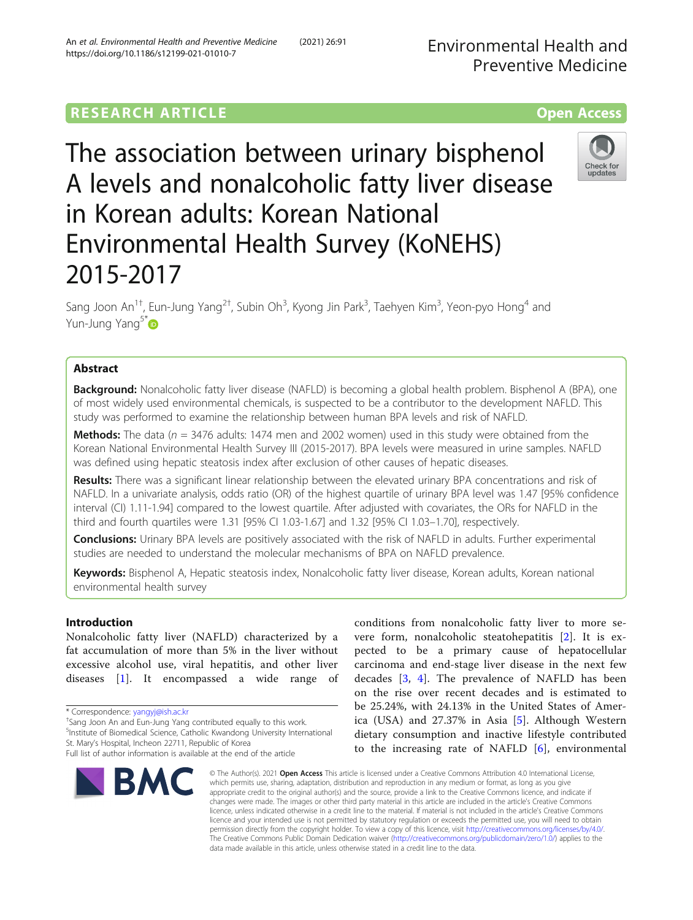## **RESEARCH ARTICLE Example 2014 12:30 The Contract of Contract ACCESS**

# The association between urinary bisphenol A levels and nonalcoholic fatty liver disease in Korean adults: Korean National Environmental Health Survey (KoNEHS) 2015-2017

Sang Joon An<sup>1†</sup>, Eun-Jung Yang<sup>2†</sup>, Subin Oh<sup>3</sup>, Kyong Jin Park<sup>3</sup>, Taehyen Kim<sup>3</sup>, Yeon-pyo Hong<sup>4</sup> and Yun-Jung Yang<sup>5[\\*](http://orcid.org/0000-0001-5461-1534)</sup>

## Abstract

**Background:** Nonalcoholic fatty liver disease (NAFLD) is becoming a global health problem. Bisphenol A (BPA), one of most widely used environmental chemicals, is suspected to be a contributor to the development NAFLD. This study was performed to examine the relationship between human BPA levels and risk of NAFLD.

**Methods:** The data ( $n = 3476$  adults: 1474 men and 2002 women) used in this study were obtained from the Korean National Environmental Health Survey III (2015-2017). BPA levels were measured in urine samples. NAFLD was defined using hepatic steatosis index after exclusion of other causes of hepatic diseases.

Results: There was a significant linear relationship between the elevated urinary BPA concentrations and risk of NAFLD. In a univariate analysis, odds ratio (OR) of the highest quartile of urinary BPA level was 1.47 [95% confidence interval (CI) 1.11-1.94] compared to the lowest quartile. After adjusted with covariates, the ORs for NAFLD in the third and fourth quartiles were 1.31 [95% CI 1.03-1.67] and 1.32 [95% CI 1.03–1.70], respectively.

Conclusions: Urinary BPA levels are positively associated with the risk of NAFLD in adults. Further experimental studies are needed to understand the molecular mechanisms of BPA on NAFLD prevalence.

Keywords: Bisphenol A, Hepatic steatosis index, Nonalcoholic fatty liver disease, Korean adults, Korean national environmental health survey

## Introduction

Nonalcoholic fatty liver (NAFLD) characterized by a fat accumulation of more than 5% in the liver without excessive alcohol use, viral hepatitis, and other liver diseases [[1](#page-7-0)]. It encompassed a wide range of

<sup>+</sup>Sang Joon An and Eun-Jung Yang contributed equally to this work.

<sup>5</sup>Institute of Biomedical Science, Catholic Kwandong University International St. Mary's Hospital, Incheon 22711, Republic of Korea

## conditions from nonalcoholic fatty liver to more severe form, nonalcoholic steatohepatitis [\[2](#page-7-0)]. It is expected to be a primary cause of hepatocellular carcinoma and end-stage liver disease in the next few decades [[3](#page-7-0), [4](#page-7-0)]. The prevalence of NAFLD has been on the rise over recent decades and is estimated to be 25.24%, with 24.13% in the United States of America (USA) and 27.37% in Asia [\[5](#page-7-0)]. Although Western dietary consumption and inactive lifestyle contributed to the increasing rate of NAFLD  $[6]$  $[6]$ , environmental

© The Author(s), 2021 **Open Access** This article is licensed under a Creative Commons Attribution 4.0 International License, which permits use, sharing, adaptation, distribution and reproduction in any medium or format, as long as you give appropriate credit to the original author(s) and the source, provide a link to the Creative Commons licence, and indicate if changes were made. The images or other third party material in this article are included in the article's Creative Commons licence, unless indicated otherwise in a credit line to the material. If material is not included in the article's Creative Commons licence and your intended use is not permitted by statutory regulation or exceeds the permitted use, you will need to obtain permission directly from the copyright holder. To view a copy of this licence, visit [http://creativecommons.org/licenses/by/4.0/.](http://creativecommons.org/licenses/by/4.0/) The Creative Commons Public Domain Dedication waiver [\(http://creativecommons.org/publicdomain/zero/1.0/](http://creativecommons.org/publicdomain/zero/1.0/)) applies to the data made available in this article, unless otherwise stated in a credit line to the data.



Preventive Medicine

Environmental Health and



<sup>\*</sup> Correspondence: [yangyj@ish.ac.kr](mailto:yangyj@ish.ac.kr) †

Full list of author information is available at the end of the article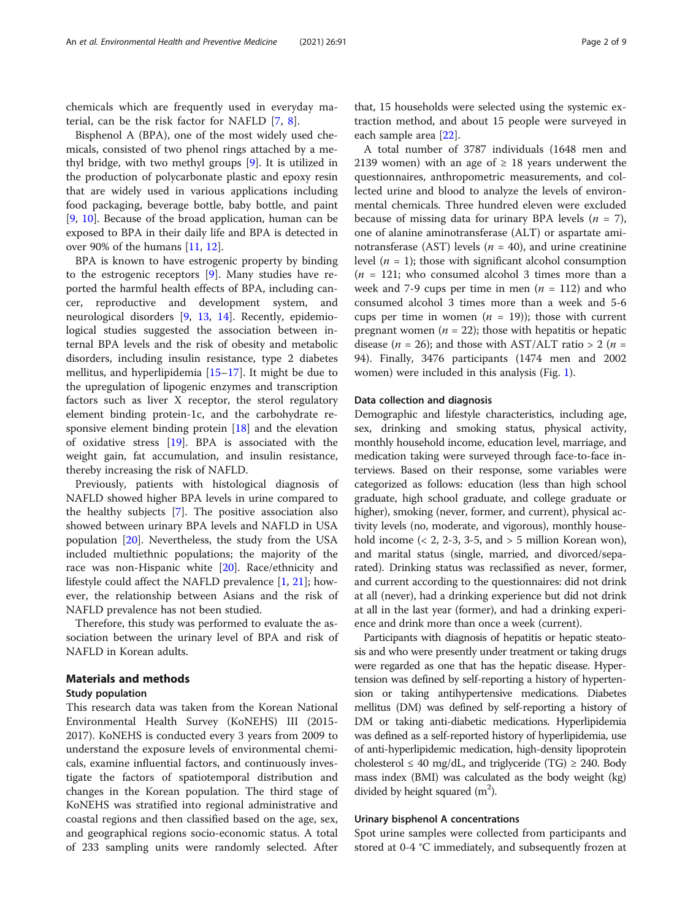chemicals which are frequently used in everyday material, can be the risk factor for NAFLD [\[7](#page-7-0), [8](#page-7-0)].

Bisphenol A (BPA), one of the most widely used chemicals, consisted of two phenol rings attached by a methyl bridge, with two methyl groups [\[9](#page-7-0)]. It is utilized in the production of polycarbonate plastic and epoxy resin that are widely used in various applications including food packaging, beverage bottle, baby bottle, and paint [[9,](#page-7-0) [10](#page-7-0)]. Because of the broad application, human can be exposed to BPA in their daily life and BPA is detected in over 90% of the humans [\[11](#page-7-0), [12\]](#page-7-0).

BPA is known to have estrogenic property by binding to the estrogenic receptors [\[9](#page-7-0)]. Many studies have reported the harmful health effects of BPA, including cancer, reproductive and development system, and neurological disorders [[9,](#page-7-0) [13,](#page-7-0) [14\]](#page-7-0). Recently, epidemiological studies suggested the association between internal BPA levels and the risk of obesity and metabolic disorders, including insulin resistance, type 2 diabetes mellitus, and hyperlipidemia [\[15](#page-7-0)–[17\]](#page-7-0). It might be due to the upregulation of lipogenic enzymes and transcription factors such as liver X receptor, the sterol regulatory element binding protein-1c, and the carbohydrate responsive element binding protein [\[18](#page-7-0)] and the elevation of oxidative stress [\[19](#page-7-0)]. BPA is associated with the weight gain, fat accumulation, and insulin resistance, thereby increasing the risk of NAFLD.

Previously, patients with histological diagnosis of NAFLD showed higher BPA levels in urine compared to the healthy subjects [[7\]](#page-7-0). The positive association also showed between urinary BPA levels and NAFLD in USA population [\[20](#page-7-0)]. Nevertheless, the study from the USA included multiethnic populations; the majority of the race was non-Hispanic white [\[20](#page-7-0)]. Race/ethnicity and lifestyle could affect the NAFLD prevalence [[1](#page-7-0), [21](#page-7-0)]; however, the relationship between Asians and the risk of NAFLD prevalence has not been studied.

Therefore, this study was performed to evaluate the association between the urinary level of BPA and risk of NAFLD in Korean adults.

## Materials and methods

#### Study population

This research data was taken from the Korean National Environmental Health Survey (KoNEHS) III (2015- 2017). KoNEHS is conducted every 3 years from 2009 to understand the exposure levels of environmental chemicals, examine influential factors, and continuously investigate the factors of spatiotemporal distribution and changes in the Korean population. The third stage of KoNEHS was stratified into regional administrative and coastal regions and then classified based on the age, sex, and geographical regions socio-economic status. A total of 233 sampling units were randomly selected. After

that, 15 households were selected using the systemic extraction method, and about 15 people were surveyed in each sample area [[22](#page-7-0)].

A total number of 3787 individuals (1648 men and 2139 women) with an age of  $\geq$  18 years underwent the questionnaires, anthropometric measurements, and collected urine and blood to analyze the levels of environmental chemicals. Three hundred eleven were excluded because of missing data for urinary BPA levels  $(n = 7)$ , one of alanine aminotransferase (ALT) or aspartate aminotransferase (AST) levels ( $n = 40$ ), and urine creatinine level  $(n = 1)$ ; those with significant alcohol consumption  $(n = 121;$  who consumed alcohol 3 times more than a week and 7-9 cups per time in men ( $n = 112$ ) and who consumed alcohol 3 times more than a week and 5-6 cups per time in women  $(n = 19)$ ); those with current pregnant women ( $n = 22$ ); those with hepatitis or hepatic disease ( $n = 26$ ); and those with AST/ALT ratio > 2 ( $n =$ 94). Finally, 3476 participants (1474 men and 2002 women) were included in this analysis (Fig. [1\)](#page-2-0).

## Data collection and diagnosis

Demographic and lifestyle characteristics, including age, sex, drinking and smoking status, physical activity, monthly household income, education level, marriage, and medication taking were surveyed through face-to-face interviews. Based on their response, some variables were categorized as follows: education (less than high school graduate, high school graduate, and college graduate or higher), smoking (never, former, and current), physical activity levels (no, moderate, and vigorous), monthly household income  $\langle 2, 2-3, 3-5, \text{ and } 25 \rangle$  million Korean won), and marital status (single, married, and divorced/separated). Drinking status was reclassified as never, former, and current according to the questionnaires: did not drink at all (never), had a drinking experience but did not drink at all in the last year (former), and had a drinking experience and drink more than once a week (current).

Participants with diagnosis of hepatitis or hepatic steatosis and who were presently under treatment or taking drugs were regarded as one that has the hepatic disease. Hypertension was defined by self-reporting a history of hypertension or taking antihypertensive medications. Diabetes mellitus (DM) was defined by self-reporting a history of DM or taking anti-diabetic medications. Hyperlipidemia was defined as a self-reported history of hyperlipidemia, use of anti-hyperlipidemic medication, high-density lipoprotein cholesterol  $\leq 40$  mg/dL, and triglyceride (TG)  $\geq 240$ . Body mass index (BMI) was calculated as the body weight (kg) divided by height squared  $(m^2)$ .

## Urinary bisphenol A concentrations

Spot urine samples were collected from participants and stored at 0-4 °C immediately, and subsequently frozen at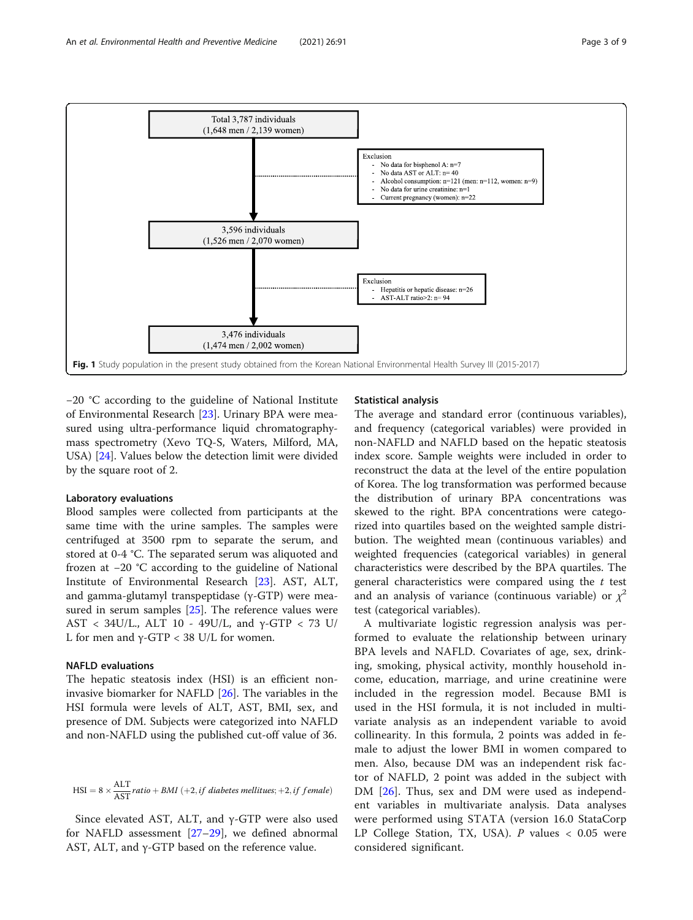<span id="page-2-0"></span>

−20 °C according to the guideline of National Institute of Environmental Research [[23\]](#page-7-0). Urinary BPA were measured using ultra-performance liquid chromatographymass spectrometry (Xevo TQ-S, Waters, Milford, MA, USA) [\[24\]](#page-7-0). Values below the detection limit were divided by the square root of 2.

## Laboratory evaluations

Blood samples were collected from participants at the same time with the urine samples. The samples were centrifuged at 3500 rpm to separate the serum, and stored at 0-4 °C. The separated serum was aliquoted and frozen at −20 °C according to the guideline of National Institute of Environmental Research [[23\]](#page-7-0). AST, ALT, and gamma-glutamyl transpeptidase (γ-GTP) were mea-sured in serum samples [[25](#page-7-0)]. The reference values were AST < 34U/L., ALT 10 - 49U/L, and γ-GTP < 73 U/ L for men and  $y$ -GTP < 38 U/L for women.

## NAFLD evaluations

The hepatic steatosis index (HSI) is an efficient noninvasive biomarker for NAFLD [\[26](#page-8-0)]. The variables in the HSI formula were levels of ALT, AST, BMI, sex, and presence of DM. Subjects were categorized into NAFLD and non-NAFLD using the published cut-off value of 36.

$$
\text{HSI}=8\times\frac{\text{ALT}}{\text{AST}}\text{ratio}+\text{BMI}~(+2, if\ \text{diabetes}\ \textit{melitues};+2, if\ \textit{female})
$$

Since elevated AST, ALT, and  $\gamma$ -GTP were also used for NAFLD assessment [\[27](#page-8-0)–[29\]](#page-8-0), we defined abnormal AST, ALT, and  $γ$ -GTP based on the reference value.

## Statistical analysis

The average and standard error (continuous variables), and frequency (categorical variables) were provided in non-NAFLD and NAFLD based on the hepatic steatosis index score. Sample weights were included in order to reconstruct the data at the level of the entire population of Korea. The log transformation was performed because the distribution of urinary BPA concentrations was skewed to the right. BPA concentrations were categorized into quartiles based on the weighted sample distribution. The weighted mean (continuous variables) and weighted frequencies (categorical variables) in general characteristics were described by the BPA quartiles. The general characteristics were compared using the  $t$  test and an analysis of variance (continuous variable) or  $\chi^2$ test (categorical variables).

A multivariate logistic regression analysis was performed to evaluate the relationship between urinary BPA levels and NAFLD. Covariates of age, sex, drinking, smoking, physical activity, monthly household income, education, marriage, and urine creatinine were included in the regression model. Because BMI is used in the HSI formula, it is not included in multivariate analysis as an independent variable to avoid collinearity. In this formula, 2 points was added in female to adjust the lower BMI in women compared to men. Also, because DM was an independent risk factor of NAFLD, 2 point was added in the subject with DM [[26\]](#page-8-0). Thus, sex and DM were used as independent variables in multivariate analysis. Data analyses were performed using STATA (version 16.0 StataCorp LP College Station, TX, USA).  $P$  values < 0.05 were considered significant.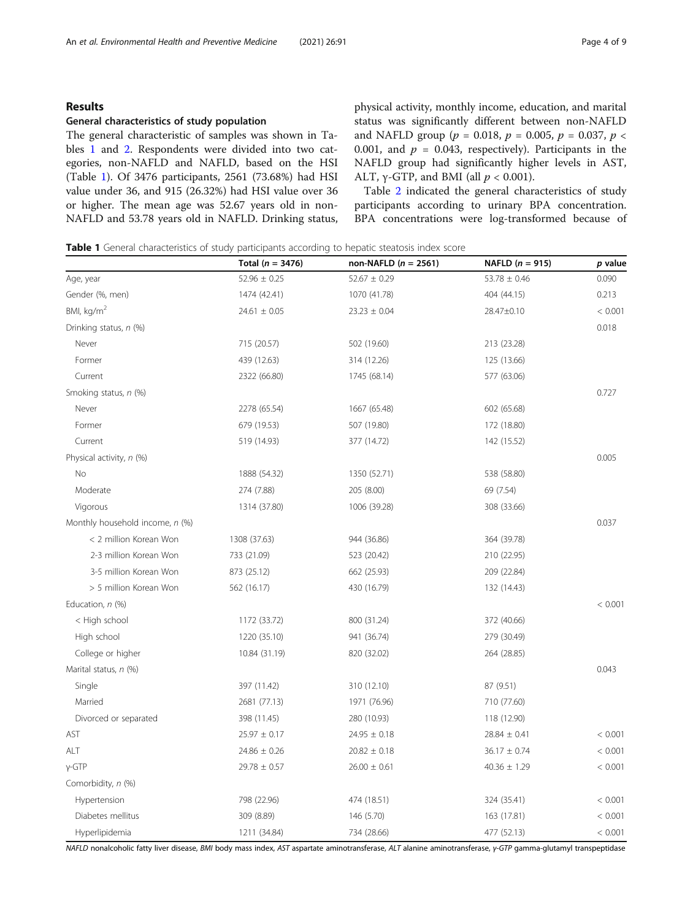## Results

## General characteristics of study population

The general characteristic of samples was shown in Tables 1 and [2.](#page-4-0) Respondents were divided into two categories, non-NAFLD and NAFLD, based on the HSI (Table 1). Of 3476 participants, 2561 (73.68%) had HSI value under 36, and 915 (26.32%) had HSI value over 36 or higher. The mean age was 52.67 years old in non-NAFLD and 53.78 years old in NAFLD. Drinking status,

physical activity, monthly income, education, and marital status was significantly different between non-NAFLD and NAFLD group ( $p = 0.018$ ,  $p = 0.005$ ,  $p = 0.037$ ,  $p <$ 0.001, and  $p = 0.043$ , respectively). Participants in the NAFLD group had significantly higher levels in AST, ALT,  $\gamma$ -GTP, and BMI (all  $p < 0.001$ ).

Table [2](#page-4-0) indicated the general characteristics of study participants according to urinary BPA concentration. BPA concentrations were log-transformed because of

Table 1 General characteristics of study participants according to hepatic steatosis index score

|                                 | Total ( $n = 3476$ ) | non-NAFLD $(n = 2561)$ | NAFLD $(n = 915)$ | p value |
|---------------------------------|----------------------|------------------------|-------------------|---------|
| Age, year                       | $52.96 \pm 0.25$     | $52.67 \pm 0.29$       | $53.78 \pm 0.46$  | 0.090   |
| Gender (%, men)                 | 1474 (42.41)         | 1070 (41.78)           | 404 (44.15)       | 0.213   |
| BMI, kg/m <sup>2</sup>          | $24.61 \pm 0.05$     | $23.23 \pm 0.04$       | 28.47±0.10        | < 0.001 |
| Drinking status, n (%)          |                      |                        |                   | 0.018   |
| Never                           | 715 (20.57)          | 502 (19.60)            | 213 (23.28)       |         |
| Former                          | 439 (12.63)          | 314 (12.26)            | 125 (13.66)       |         |
| Current                         | 2322 (66.80)         | 1745 (68.14)           | 577 (63.06)       |         |
| Smoking status, n (%)           |                      |                        |                   | 0.727   |
| Never                           | 2278 (65.54)         | 1667 (65.48)           | 602 (65.68)       |         |
| Former                          | 679 (19.53)          | 507 (19.80)            | 172 (18.80)       |         |
| Current                         | 519 (14.93)          | 377 (14.72)            | 142 (15.52)       |         |
| Physical activity, n (%)        |                      |                        |                   | 0.005   |
| No                              | 1888 (54.32)         | 1350 (52.71)           | 538 (58.80)       |         |
| Moderate                        | 274 (7.88)           | 205 (8.00)             | 69 (7.54)         |         |
| Vigorous                        | 1314 (37.80)         | 1006 (39.28)           | 308 (33.66)       |         |
| Monthly household income, n (%) |                      |                        |                   | 0.037   |
| < 2 million Korean Won          | 1308 (37.63)         | 944 (36.86)            | 364 (39.78)       |         |
| 2-3 million Korean Won          | 733 (21.09)          | 523 (20.42)            | 210 (22.95)       |         |
| 3-5 million Korean Won          | 873 (25.12)          | 662 (25.93)            | 209 (22.84)       |         |
| > 5 million Korean Won          | 562 (16.17)          | 430 (16.79)            | 132 (14.43)       |         |
| Education, n (%)                |                      |                        |                   | < 0.001 |
| < High school                   | 1172 (33.72)         | 800 (31.24)            | 372 (40.66)       |         |
| High school                     | 1220 (35.10)         | 941 (36.74)            | 279 (30.49)       |         |
| College or higher               | 10.84 (31.19)        | 820 (32.02)            | 264 (28.85)       |         |
| Marital status, n (%)           |                      |                        |                   | 0.043   |
| Single                          | 397 (11.42)          | 310 (12.10)            | 87 (9.51)         |         |
| Married                         | 2681 (77.13)         | 1971 (76.96)           | 710 (77.60)       |         |
| Divorced or separated           | 398 (11.45)          | 280 (10.93)            | 118 (12.90)       |         |
| AST                             | $25.97 \pm 0.17$     | $24.95 \pm 0.18$       | $28.84 \pm 0.41$  | < 0.001 |
| ALT                             | $24.86\pm0.26$       | $20.82 \pm 0.18$       | $36.17 \pm 0.74$  | < 0.001 |
| $y$ -GTP                        | $29.78 \pm 0.57$     | $26.00 \pm 0.61$       | $40.36 \pm 1.29$  | < 0.001 |
| Comorbidity, n (%)              |                      |                        |                   |         |
| Hypertension                    | 798 (22.96)          | 474 (18.51)            | 324 (35.41)       | < 0.001 |
| Diabetes mellitus               | 309 (8.89)           | 146 (5.70)             | 163 (17.81)       | < 0.001 |
| Hyperlipidemia                  | 1211 (34.84)         | 734 (28.66)            | 477 (52.13)       | < 0.001 |

NAFLD nonalcoholic fatty liver disease, BMI body mass index, AST aspartate aminotransferase, ALT alanine aminotransferase, γ-GTP gamma-glutamyl transpeptidase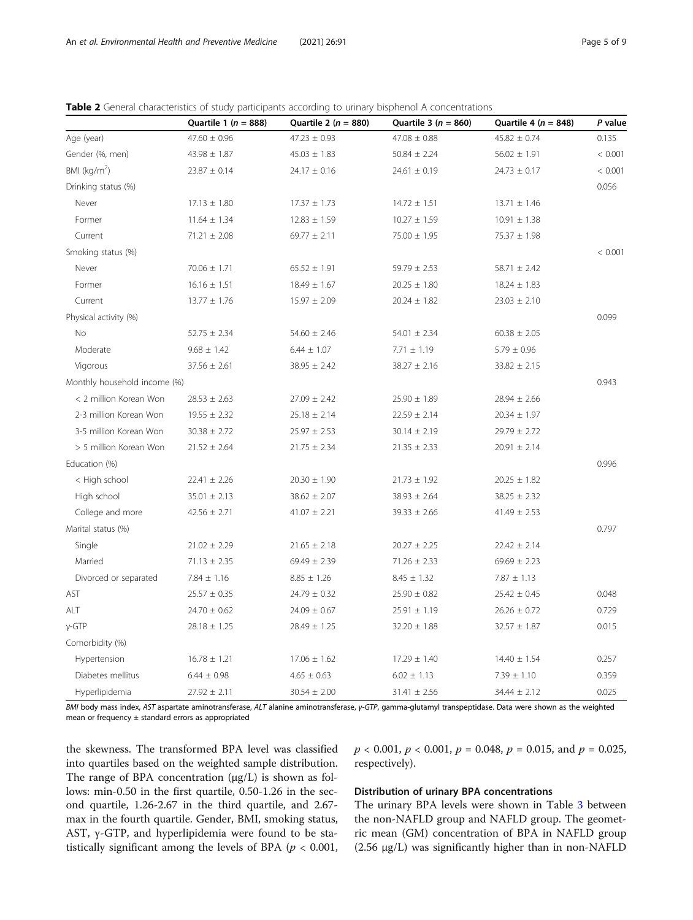<span id="page-4-0"></span>

| <b>Table 2</b> General characteristics of study participants according to urinary bisphenol A concentrations |  |  |
|--------------------------------------------------------------------------------------------------------------|--|--|
|--------------------------------------------------------------------------------------------------------------|--|--|

|                              | Quartile 1 ( $n = 888$ ) | Quartile 2 ( $n = 880$ ) | Quartile 3 ( $n = 860$ ) | Quartile 4 ( $n = 848$ ) | P value |
|------------------------------|--------------------------|--------------------------|--------------------------|--------------------------|---------|
| Age (year)                   | $47.60 \pm 0.96$         | $47.23 \pm 0.93$         | $47.08 \pm 0.88$         | $45.82 \pm 0.74$         | 0.135   |
| Gender (%, men)              | $43.98 \pm 1.87$         | $45.03 \pm 1.83$         | $50.84 \pm 2.24$         | $56.02 \pm 1.91$         | < 0.001 |
| BMI (kg/m <sup>2</sup> )     | $23.87 \pm 0.14$         | $24.17 \pm 0.16$         | $24.61 \pm 0.19$         | $24.73 \pm 0.17$         | < 0.001 |
| Drinking status (%)          |                          |                          |                          |                          | 0.056   |
| Never                        | $17.13 \pm 1.80$         | $17.37 \pm 1.73$         | $14.72 \pm 1.51$         | $13.71 \pm 1.46$         |         |
| Former                       | $11.64 \pm 1.34$         | $12.83 \pm 1.59$         | $10.27 \pm 1.59$         | $10.91 \pm 1.38$         |         |
| Current                      | $71.21 \pm 2.08$         | $69.77 \pm 2.11$         | $75.00 \pm 1.95$         | $75.37 \pm 1.98$         |         |
| Smoking status (%)           |                          |                          |                          |                          | < 0.001 |
| Never                        | $70.06 \pm 1.71$         | $65.52 \pm 1.91$         | $59.79 \pm 2.53$         | $58.71 \pm 2.42$         |         |
| Former                       | $16.16 \pm 1.51$         | $18.49 \pm 1.67$         | $20.25 \pm 1.80$         | $18.24 \pm 1.83$         |         |
| Current                      | $13.77 \pm 1.76$         | $15.97 \pm 2.09$         | $20.24 \pm 1.82$         | $23.03 \pm 2.10$         |         |
| Physical activity (%)        |                          |                          |                          |                          | 0.099   |
| No                           | $52.75 \pm 2.34$         | $54.60 \pm 2.46$         | $54.01 \pm 2.34$         | $60.38 \pm 2.05$         |         |
| Moderate                     | $9.68 \pm 1.42$          | $6.44 \pm 1.07$          | $7.71 \pm 1.19$          | $5.79 \pm 0.96$          |         |
| Vigorous                     | $37.56 \pm 2.61$         | $38.95 \pm 2.42$         | $38.27 \pm 2.16$         | $33.82 \pm 2.15$         |         |
| Monthly household income (%) |                          |                          |                          |                          | 0.943   |
| < 2 million Korean Won       | $28.53 \pm 2.63$         | $27.09 \pm 2.42$         | $25.90 \pm 1.89$         | $28.94 \pm 2.66$         |         |
| 2-3 million Korean Won       | $19.55 \pm 2.32$         | $25.18 \pm 2.14$         | $22.59 \pm 2.14$         | $20.34 \pm 1.97$         |         |
| 3-5 million Korean Won       | $30.38 \pm 2.72$         | $25.97 \pm 2.53$         | $30.14 \pm 2.19$         | $29.79 \pm 2.72$         |         |
| > 5 million Korean Won       | $21.52 \pm 2.64$         | $21.75 \pm 2.34$         | $21.35 \pm 2.33$         | $20.91 \pm 2.14$         |         |
| Education (%)                |                          |                          |                          |                          | 0.996   |
| < High school                | $22.41 \pm 2.26$         | $20.30 \pm 1.90$         | $21.73 \pm 1.92$         | $20.25 \pm 1.82$         |         |
| High school                  | $35.01 \pm 2.13$         | $38.62 \pm 2.07$         | $38.93 \pm 2.64$         | $38.25 \pm 2.32$         |         |
| College and more             | $42.56 \pm 2.71$         | $41.07 \pm 2.21$         | $39.33 \pm 2.66$         | $41.49 \pm 2.53$         |         |
| Marital status (%)           |                          |                          |                          |                          | 0.797   |
| Single                       | $21.02 \pm 2.29$         | $21.65 \pm 2.18$         | $20.27 \pm 2.25$         | $22.42 \pm 2.14$         |         |
| Married                      | $71.13 \pm 2.35$         | $69.49 \pm 2.39$         | $71.26 \pm 2.33$         | $69.69 \pm 2.23$         |         |
| Divorced or separated        | $7.84 \pm 1.16$          | $8.85 \pm 1.26$          | $8.45 \pm 1.32$          | $7.87 \pm 1.13$          |         |
| AST                          | $25.57 \pm 0.35$         | $24.79 \pm 0.32$         | $25.90 \pm 0.82$         | $25.42 \pm 0.45$         | 0.048   |
| ALT                          | $24.70 \pm 0.62$         | $24.09 \pm 0.67$         | $25.91 \pm 1.19$         | $26.26 \pm 0.72$         | 0.729   |
| $Y$ -GTP                     | $28.18 \pm 1.25$         | $28.49 \pm 1.25$         | $32.20 \pm 1.88$         | $32.57 \pm 1.87$         | 0.015   |
| Comorbidity (%)              |                          |                          |                          |                          |         |
| Hypertension                 | $16.78 \pm 1.21$         | $17.06 \pm 1.62$         | $17.29 \pm 1.40$         | $14.40 \pm 1.54$         | 0.257   |
| Diabetes mellitus            | $6.44 \pm 0.98$          | $4.65 \pm 0.63$          | $6.02 \pm 1.13$          | $7.39 \pm 1.10$          | 0.359   |
| Hyperlipidemia               | $27.92 \pm 2.11$         | $30.54 \pm 2.00$         | $31.41 \pm 2.56$         | $34.44 \pm 2.12$         | 0.025   |

BMI body mass index, AST aspartate aminotransferase, ALT alanine aminotransferase, γ-GTP, gamma-glutamyl transpeptidase. Data were shown as the weighted mean or frequency ± standard errors as appropriated

the skewness. The transformed BPA level was classified into quartiles based on the weighted sample distribution. The range of BPA concentration (μg/L) is shown as follows: min-0.50 in the first quartile, 0.50-1.26 in the second quartile, 1.26-2.67 in the third quartile, and 2.67 max in the fourth quartile. Gender, BMI, smoking status, AST, γ-GTP, and hyperlipidemia were found to be statistically significant among the levels of BPA ( $p < 0.001$ ,  $p < 0.001$ ,  $p < 0.001$ ,  $p = 0.048$ ,  $p = 0.015$ , and  $p = 0.025$ , respectively).

## Distribution of urinary BPA concentrations

The urinary BPA levels were shown in Table [3](#page-5-0) between the non-NAFLD group and NAFLD group. The geometric mean (GM) concentration of BPA in NAFLD group (2.56 μg/L) was significantly higher than in non-NAFLD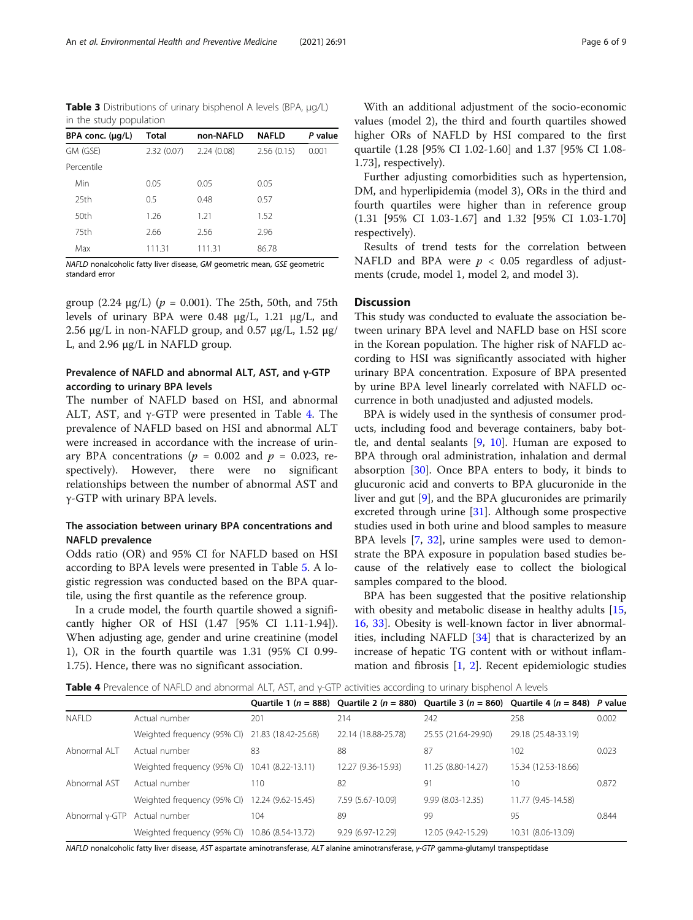<span id="page-5-0"></span>Table 3 Distributions of urinary bisphenol A levels (BPA, μg/L) in the study population

| .                     |            |            |              |         |
|-----------------------|------------|------------|--------------|---------|
| BPA conc. $(\mu q/L)$ | Total      | non-NAFLD  | <b>NAFLD</b> | P value |
| GM (GSE)              | 2.32(0.07) | 2.24(0.08) | 2.56(0.15)   | 0.001   |
| Percentile            |            |            |              |         |
| Min                   | 0.05       | 0.05       | 0.05         |         |
| 25th                  | 0.5        | 0.48       | 0.57         |         |
| 50th                  | 1.26       | 1.21       | 1.52         |         |
| 75th                  | 2.66       | 2.56       | 2.96         |         |
| Max                   | 111.31     | 111.31     | 86.78        |         |

NAFLD nonalcoholic fatty liver disease, GM geometric mean, GSE geometric standard error

group (2.24  $\mu$ g/L) ( $p = 0.001$ ). The 25th, 50th, and 75th levels of urinary BPA were 0.48 μg/L, 1.21 μg/L, and 2.56 μg/L in non-NAFLD group, and 0.57 μg/L,  $1.52 \mu$ g/ L, and 2.96 μg/L in NAFLD group.

## Prevalence of NAFLD and abnormal ALT, AST, and γ-GTP according to urinary BPA levels

The number of NAFLD based on HSI, and abnormal ALT, AST, and γ-GTP were presented in Table 4. The prevalence of NAFLD based on HSI and abnormal ALT were increased in accordance with the increase of urinary BPA concentrations ( $p = 0.002$  and  $p = 0.023$ , respectively). However, there were no significant relationships between the number of abnormal AST and γ-GTP with urinary BPA levels.

## The association between urinary BPA concentrations and NAFLD prevalence

Odds ratio (OR) and 95% CI for NAFLD based on HSI according to BPA levels were presented in Table [5](#page-6-0). A logistic regression was conducted based on the BPA quartile, using the first quantile as the reference group.

In a crude model, the fourth quartile showed a significantly higher OR of HSI (1.47 [95% CI 1.11-1.94]). When adjusting age, gender and urine creatinine (model 1), OR in the fourth quartile was 1.31 (95% CI 0.99- 1.75). Hence, there was no significant association.

With an additional adjustment of the socio-economic values (model 2), the third and fourth quartiles showed higher ORs of NAFLD by HSI compared to the first quartile (1.28 [95% CI 1.02-1.60] and 1.37 [95% CI 1.08- 1.73], respectively).

Further adjusting comorbidities such as hypertension, DM, and hyperlipidemia (model 3), ORs in the third and fourth quartiles were higher than in reference group (1.31 [95% CI 1.03-1.67] and 1.32 [95% CI 1.03-1.70] respectively).

Results of trend tests for the correlation between NAFLD and BPA were  $p < 0.05$  regardless of adjustments (crude, model 1, model 2, and model 3).

## **Discussion**

This study was conducted to evaluate the association between urinary BPA level and NAFLD base on HSI score in the Korean population. The higher risk of NAFLD according to HSI was significantly associated with higher urinary BPA concentration. Exposure of BPA presented by urine BPA level linearly correlated with NAFLD occurrence in both unadjusted and adjusted models.

BPA is widely used in the synthesis of consumer products, including food and beverage containers, baby bottle, and dental sealants  $[9, 10]$  $[9, 10]$  $[9, 10]$  $[9, 10]$  $[9, 10]$ . Human are exposed to BPA through oral administration, inhalation and dermal absorption [[30\]](#page-8-0). Once BPA enters to body, it binds to glucuronic acid and converts to BPA glucuronide in the liver and gut [[9](#page-7-0)], and the BPA glucuronides are primarily excreted through urine [[31\]](#page-8-0). Although some prospective studies used in both urine and blood samples to measure BPA levels [\[7](#page-7-0), [32](#page-8-0)], urine samples were used to demonstrate the BPA exposure in population based studies because of the relatively ease to collect the biological samples compared to the blood.

BPA has been suggested that the positive relationship with obesity and metabolic disease in healthy adults [[15](#page-7-0), [16,](#page-7-0) [33](#page-8-0)]. Obesity is well-known factor in liver abnormalities, including NAFLD [\[34\]](#page-8-0) that is characterized by an increase of hepatic TG content with or without inflammation and fibrosis [[1,](#page-7-0) [2\]](#page-7-0). Recent epidemiologic studies

Table 4 Prevalence of NAFLD and abnormal ALT, AST, and γ-GTP activities according to urinary bisphenol A levels

|                |                                                 |                    |                     | Quartile 1 (n = 888) Quartile 2 (n = 880) Quartile 3 (n = 860) Quartile 4 (n = 848) P value |                     |       |
|----------------|-------------------------------------------------|--------------------|---------------------|---------------------------------------------------------------------------------------------|---------------------|-------|
| NAFI D         | Actual number                                   | 201                | 214                 | 242                                                                                         | 258                 | 0.002 |
|                | Weighted frequency (95% CI) 21.83 (18.42-25.68) |                    | 22.14 (18.88-25.78) | 25.55 (21.64-29.90)                                                                         | 29.18 (25.48-33.19) |       |
| Abnormal ALT   | Actual number                                   | 83                 | 88                  | 87                                                                                          | 102                 | 0.023 |
|                | Weighted frequency (95% CI) 10.41 (8.22-13.11)  |                    | 12.27 (9.36-15.93)  | 11.25 (8.80-14.27)                                                                          | 15.34 (12.53-18.66) |       |
| Abnormal AST   | Actual number                                   | 110                | 82                  | 91                                                                                          | 10                  | 0.872 |
|                | Weighted frequency (95% CI) 12.24 (9.62-15.45)  |                    | 7.59 (5.67-10.09)   | 9.99 (8.03-12.35)                                                                           | 11.77 (9.45-14.58)  |       |
| Abnormal y-GTP | Actual number                                   | 104                | 89                  | 99                                                                                          | 95                  | 0.844 |
|                | Weighted frequency (95% CI)                     | 10.86 (8.54-13.72) | 9.29 (6.97-12.29)   | 12.05 (9.42-15.29)                                                                          | 10.31 (8.06-13.09)  |       |

NAFLD nonalcoholic fatty liver disease, AST aspartate aminotransferase, ALT alanine aminotransferase, γ-GTP gamma-glutamyl transpeptidase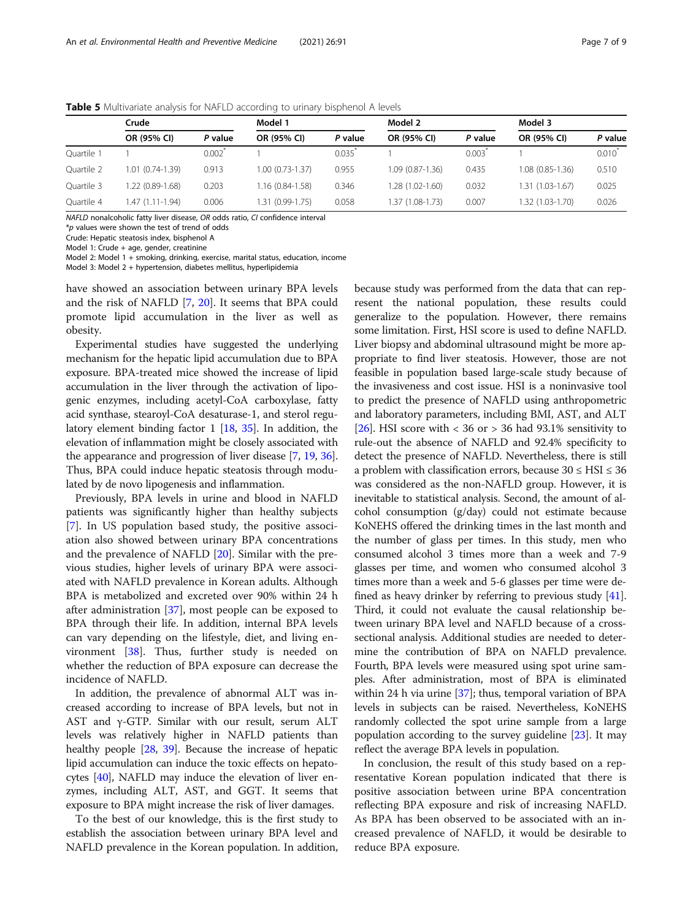|            | Crude            |             | Model 1           |         | Model 2          |         | Model 3          |             |
|------------|------------------|-------------|-------------------|---------|------------------|---------|------------------|-------------|
|            | OR (95% CI)      | P value     | OR (95% CI)       | P value | OR (95% CI)      | P value | OR (95% CI)      | P value     |
| Quartile 1 |                  | $0.002^{7}$ |                   | 0.035   |                  | 0.003   |                  | $0.010^{7}$ |
| Quartile 2 | 1.01 (0.74-1.39) | 0.913       | $1.00(0.73-1.37)$ | 0.955   | $.09(0.87-1.36)$ | 0.435   | 1.08 (0.85-1.36) | 0.510       |
| Quartile 3 | $.22(0.89-1.68)$ | 0.203       | 1.16 (0.84-1.58)  | 0.346   | $.28(1.02-1.60)$ | 0.032   | .31 (1.03-1.67)  | 0.025       |
| Quartile 4 | 1.47 (1.11-1.94) | 0.006       | 1.31 (0.99-1.75)  | 0.058   | $.37(1.08-1.73)$ | 0.007   | 1.32 (1.03-1.70) | 0.026       |

<span id="page-6-0"></span>Table 5 Multivariate analysis for NAFLD according to urinary bisphenol A levels

NAFLD nonalcoholic fatty liver disease, OR odds ratio, CI confidence interval

\*p values were shown the test of trend of odds

Crude: Hepatic steatosis index, bisphenol A

Model 1: Crude + age, gender, creatinine

Model 2: Model 1 + smoking, drinking, exercise, marital status, education, income

Model 3: Model 2 + hypertension, diabetes mellitus, hyperlipidemia

have showed an association between urinary BPA levels and the risk of NAFLD [[7,](#page-7-0) [20](#page-7-0)]. It seems that BPA could promote lipid accumulation in the liver as well as obesity.

Experimental studies have suggested the underlying mechanism for the hepatic lipid accumulation due to BPA exposure. BPA-treated mice showed the increase of lipid accumulation in the liver through the activation of lipogenic enzymes, including acetyl-CoA carboxylase, fatty acid synthase, stearoyl-CoA desaturase-1, and sterol regulatory element binding factor 1 [\[18,](#page-7-0) [35](#page-8-0)]. In addition, the elevation of inflammation might be closely associated with the appearance and progression of liver disease [\[7](#page-7-0), [19,](#page-7-0) [36](#page-8-0)]. Thus, BPA could induce hepatic steatosis through modulated by de novo lipogenesis and inflammation.

Previously, BPA levels in urine and blood in NAFLD patients was significantly higher than healthy subjects [[7\]](#page-7-0). In US population based study, the positive association also showed between urinary BPA concentrations and the prevalence of NAFLD [[20](#page-7-0)]. Similar with the previous studies, higher levels of urinary BPA were associated with NAFLD prevalence in Korean adults. Although BPA is metabolized and excreted over 90% within 24 h after administration [\[37](#page-8-0)], most people can be exposed to BPA through their life. In addition, internal BPA levels can vary depending on the lifestyle, diet, and living environment [[38\]](#page-8-0). Thus, further study is needed on whether the reduction of BPA exposure can decrease the incidence of NAFLD.

In addition, the prevalence of abnormal ALT was increased according to increase of BPA levels, but not in AST and γ-GTP. Similar with our result, serum ALT levels was relatively higher in NAFLD patients than healthy people [\[28,](#page-8-0) [39\]](#page-8-0). Because the increase of hepatic lipid accumulation can induce the toxic effects on hepatocytes [\[40\]](#page-8-0), NAFLD may induce the elevation of liver enzymes, including ALT, AST, and GGT. It seems that exposure to BPA might increase the risk of liver damages.

To the best of our knowledge, this is the first study to establish the association between urinary BPA level and NAFLD prevalence in the Korean population. In addition,

because study was performed from the data that can represent the national population, these results could generalize to the population. However, there remains some limitation. First, HSI score is used to define NAFLD. Liver biopsy and abdominal ultrasound might be more appropriate to find liver steatosis. However, those are not feasible in population based large-scale study because of the invasiveness and cost issue. HSI is a noninvasive tool to predict the presence of NAFLD using anthropometric and laboratory parameters, including BMI, AST, and ALT [ $26$ ]. HSI score with < 36 or > 36 had 93.1% sensitivity to rule-out the absence of NAFLD and 92.4% specificity to detect the presence of NAFLD. Nevertheless, there is still a problem with classification errors, because  $30 \leq HSI \leq 36$ was considered as the non-NAFLD group. However, it is inevitable to statistical analysis. Second, the amount of alcohol consumption (g/day) could not estimate because KoNEHS offered the drinking times in the last month and the number of glass per times. In this study, men who consumed alcohol 3 times more than a week and 7-9 glasses per time, and women who consumed alcohol 3 times more than a week and 5-6 glasses per time were defined as heavy drinker by referring to previous study [[41](#page-8-0)]. Third, it could not evaluate the causal relationship between urinary BPA level and NAFLD because of a crosssectional analysis. Additional studies are needed to determine the contribution of BPA on NAFLD prevalence. Fourth, BPA levels were measured using spot urine samples. After administration, most of BPA is eliminated within 24 h via urine [[37](#page-8-0)]; thus, temporal variation of BPA levels in subjects can be raised. Nevertheless, KoNEHS randomly collected the spot urine sample from a large population according to the survey guideline [[23](#page-7-0)]. It may reflect the average BPA levels in population.

In conclusion, the result of this study based on a representative Korean population indicated that there is positive association between urine BPA concentration reflecting BPA exposure and risk of increasing NAFLD. As BPA has been observed to be associated with an increased prevalence of NAFLD, it would be desirable to reduce BPA exposure.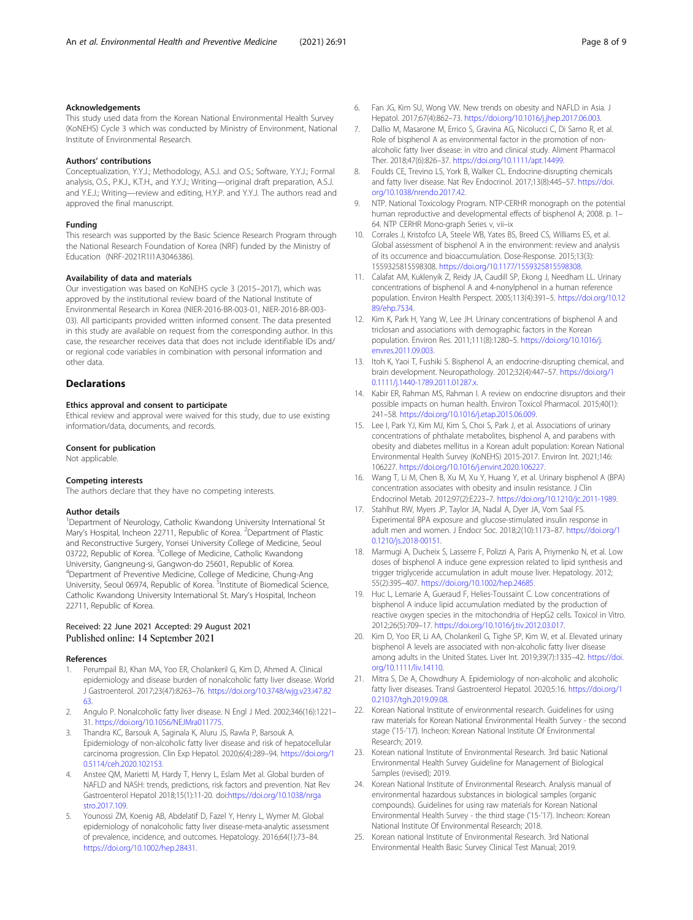## <span id="page-7-0"></span>Acknowledgements

This study used data from the Korean National Environmental Health Survey (KoNEHS) Cycle 3 which was conducted by Ministry of Environment, National Institute of Environmental Research.

#### Authors' contributions

Conceptualization, Y.Y.J.; Methodology, A.S.J. and O.S.; Software, Y.Y.J.; Formal analysis, O.S., P.K.J., K.T.H., and Y.Y.J.; Writing—original draft preparation, A.S.J. and Y.E.J.; Writing—review and editing, H.Y.P. and Y.Y.J. The authors read and approved the final manuscript.

#### Funding

This research was supported by the Basic Science Research Program through the National Research Foundation of Korea (NRF) funded by the Ministry of Education (NRF-2021R1I1A3046386).

#### Availability of data and materials

Our investigation was based on KoNEHS cycle 3 (2015–2017), which was approved by the institutional review board of the National Institute of Environmental Research in Korea (NIER-2016-BR-003-01, NIER-2016-BR-003- 03). All participants provided written informed consent. The data presented in this study are available on request from the corresponding author. In this case, the researcher receives data that does not include identifiable IDs and/ or regional code variables in combination with personal information and other data.

#### **Declarations**

### Ethics approval and consent to participate

Ethical review and approval were waived for this study, due to use existing information/data, documents, and records.

#### Consent for publication

Not applicable.

#### Competing interests

The authors declare that they have no competing interests.

#### Author details

<sup>1</sup>Department of Neurology, Catholic Kwandong University International St Mary's Hospital, Incheon 22711, Republic of Korea. <sup>2</sup>Department of Plastic and Reconstructive Surgery, Yonsei University College of Medicine, Seoul 03722, Republic of Korea. <sup>3</sup>College of Medicine, Catholic Kwandong University, Gangneung-si, Gangwon-do 25601, Republic of Korea. 4 Department of Preventive Medicine, College of Medicine, Chung-Ang University, Seoul 06974, Republic of Korea. <sup>5</sup>Institute of Biomedical Science, Catholic Kwandong University International St. Mary's Hospital, Incheon 22711, Republic of Korea.

## Received: 22 June 2021 Accepted: 29 August 2021 Published online: 14 September 2021

#### References

- 1. Perumpail BJ, Khan MA, Yoo ER, Cholankeril G, Kim D, Ahmed A. Clinical epidemiology and disease burden of nonalcoholic fatty liver disease. World J Gastroenterol. 2017;23(47):8263–76. [https://doi.org/10.3748/wjg.v23.i47.82](https://doi.org/10.3748/wjg.v23.i47.8263) [63.](https://doi.org/10.3748/wjg.v23.i47.8263)
- 2. Angulo P. Nonalcoholic fatty liver disease. N Engl J Med. 2002;346(16):1221– 31. [https://doi.org/10.1056/NEJMra011775.](https://doi.org/10.1056/NEJMra011775)
- 3. Thandra KC, Barsouk A, Saginala K, Aluru JS, Rawla P, Barsouk A. Epidemiology of non-alcoholic fatty liver disease and risk of hepatocellular carcinoma progression. Clin Exp Hepatol. 2020;6(4):289–94. [https://doi.org/1](https://doi.org/10.5114/ceh.2020.102153) [0.5114/ceh.2020.102153](https://doi.org/10.5114/ceh.2020.102153).
- 4. Anstee QM, Marietti M, Hardy T, Henry L, Eslam Met al. Global burden of NAFLD and NASH: trends, predictions, risk factors and prevention. Nat Rev Gastroenterol Hepatol 2018;15(1):11-20. doi:[https://doi.org/10.1038/nrga](https://doi.org/10.1038/nrgastro.2017.109) [stro.2017.109.](https://doi.org/10.1038/nrgastro.2017.109)
- Younossi ZM, Koenig AB, Abdelatif D, Fazel Y, Henry L, Wymer M. Global epidemiology of nonalcoholic fatty liver disease-meta-analytic assessment of prevalence, incidence, and outcomes. Hepatology. 2016;64(1):73–84. <https://doi.org/10.1002/hep.28431>.
- 6. Fan JG, Kim SU, Wong VW. New trends on obesity and NAFLD in Asia. J Hepatol. 2017;67(4):862–73. <https://doi.org/10.1016/j.jhep.2017.06.003>.
- 7. Dallio M, Masarone M, Errico S, Gravina AG, Nicolucci C, Di Sarno R, et al. Role of bisphenol A as environmental factor in the promotion of nonalcoholic fatty liver disease: in vitro and clinical study. Aliment Pharmacol Ther. 2018;47(6):826–37. <https://doi.org/10.1111/apt.14499>.
- 8. Foulds CE, Trevino LS, York B, Walker CL. Endocrine-disrupting chemicals and fatty liver disease. Nat Rev Endocrinol. 2017;13(8):445–57. [https://doi.](https://doi.org/10.1038/nrendo.2017.42) [org/10.1038/nrendo.2017.42.](https://doi.org/10.1038/nrendo.2017.42)
- 9. NTP. National Toxicology Program. NTP-CERHR monograph on the potential human reproductive and developmental effects of bisphenol A; 2008. p. 1– 64. NTP CERHR Mono-graph Series v, vii–ix
- 10. Corrales J, Kristofco LA, Steele WB, Yates BS, Breed CS, Williams ES, et al. Global assessment of bisphenol A in the environment: review and analysis of its occurrence and bioaccumulation. Dose-Response. 2015;13(3): 1559325815598308. <https://doi.org/10.1177/1559325815598308>.
- 11. Calafat AM, Kuklenyik Z, Reidy JA, Caudill SP, Ekong J, Needham LL. Urinary concentrations of bisphenol A and 4-nonylphenol in a human reference population. Environ Health Perspect. 2005;113(4):391–5. [https://doi.org/10.12](https://doi.org/10.1289/ehp.7534) [89/ehp.7534.](https://doi.org/10.1289/ehp.7534)
- 12. Kim K, Park H, Yang W, Lee JH. Urinary concentrations of bisphenol A and triclosan and associations with demographic factors in the Korean population. Environ Res. 2011;111(8):1280–5. [https://doi.org/10.1016/j.](https://doi.org/10.1016/j.envres.2011.09.003) [envres.2011.09.003](https://doi.org/10.1016/j.envres.2011.09.003).
- 13. Itoh K, Yaoi T, Fushiki S. Bisphenol A, an endocrine-disrupting chemical, and brain development. Neuropathology. 2012;32(4):447–57. [https://doi.org/1](https://doi.org/10.1111/j.1440-1789.2011.01287.x) [0.1111/j.1440-1789.2011.01287.x.](https://doi.org/10.1111/j.1440-1789.2011.01287.x)
- 14. Kabir ER, Rahman MS, Rahman I. A review on endocrine disruptors and their possible impacts on human health. Environ Toxicol Pharmacol. 2015;40(1): 241–58. <https://doi.org/10.1016/j.etap.2015.06.009>.
- 15. Lee I, Park YJ, Kim MJ, Kim S, Choi S, Park J, et al. Associations of urinary concentrations of phthalate metabolites, bisphenol A, and parabens with obesity and diabetes mellitus in a Korean adult population: Korean National Environmental Health Survey (KoNEHS) 2015-2017. Environ Int. 2021;146: 106227. [https://doi.org/10.1016/j.envint.2020.106227.](https://doi.org/10.1016/j.envint.2020.106227)
- 16. Wang T, Li M, Chen B, Xu M, Xu Y, Huang Y, et al. Urinary bisphenol A (BPA) concentration associates with obesity and insulin resistance. J Clin Endocrinol Metab. 2012;97(2):E223–7. [https://doi.org/10.1210/jc.2011-1989.](https://doi.org/10.1210/jc.2011-1989)
- 17. Stahlhut RW, Myers JP, Taylor JA, Nadal A, Dyer JA, Vom Saal FS. Experimental BPA exposure and glucose-stimulated insulin response in adult men and women. J Endocr Soc. 2018;2(10):1173–87. [https://doi.org/1](https://doi.org/10.1210/js.2018-00151) [0.1210/js.2018-00151](https://doi.org/10.1210/js.2018-00151).
- 18. Marmugi A, Ducheix S, Lasserre F, Polizzi A, Paris A, Priymenko N, et al. Low doses of bisphenol A induce gene expression related to lipid synthesis and trigger triglyceride accumulation in adult mouse liver. Hepatology. 2012; 55(2):395–407. [https://doi.org/10.1002/hep.24685.](https://doi.org/10.1002/hep.24685)
- 19. Huc L, Lemarie A, Gueraud F, Helies-Toussaint C. Low concentrations of bisphenol A induce lipid accumulation mediated by the production of reactive oxygen species in the mitochondria of HepG2 cells. Toxicol in Vitro. 2012;26(5):709–17. [https://doi.org/10.1016/j.tiv.2012.03.017.](https://doi.org/10.1016/j.tiv.2012.03.017)
- 20. Kim D, Yoo ER, Li AA, Cholankeril G, Tighe SP, Kim W, et al. Elevated urinary bisphenol A levels are associated with non-alcoholic fatty liver disease among adults in the United States. Liver Int. 2019;39(7):1335–42. [https://doi.](https://doi.org/10.1111/liv.14110) [org/10.1111/liv.14110](https://doi.org/10.1111/liv.14110).
- 21. Mitra S, De A, Chowdhury A. Epidemiology of non-alcoholic and alcoholic fatty liver diseases. Transl Gastroenterol Hepatol. 2020;5:16. [https://doi.org/1](https://doi.org/10.21037/tgh.2019.09.08) [0.21037/tgh.2019.09.08](https://doi.org/10.21037/tgh.2019.09.08).
- 22. Korean National Institute of environmental research. Guidelines for using raw materials for Korean National Environmental Health Survey - the second stage ('15-'17). Incheon: Korean National Institute Of Environmental Research; 2019.
- 23. Korean national Institute of Environmental Research. 3rd basic National Environmental Health Survey Guideline for Management of Biological Samples (revised); 2019.
- 24. Korean National Institute of Environmental Research. Analysis manual of environmental hazardous substances in biological samples (organic compounds). Guidelines for using raw materials for Korean National Environmental Health Survey - the third stage ('15-'17). Incheon: Korean National Institute Of Environmental Research; 2018.
- 25. Korean national Institute of Environmental Research. 3rd National Environmental Health Basic Survey Clinical Test Manual; 2019.